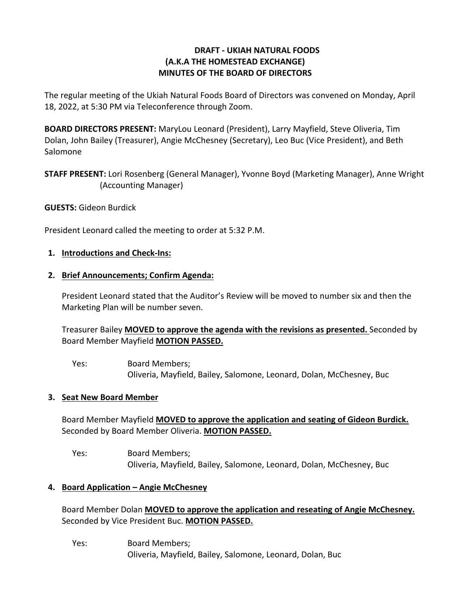# **DRAFT - UKIAH NATURAL FOODS (A.K.A THE HOMESTEAD EXCHANGE) MINUTES OF THE BOARD OF DIRECTORS**

The regular meeting of the Ukiah Natural Foods Board of Directors was convened on Monday, April 18, 2022, at 5:30 PM via Teleconference through Zoom.

**BOARD DIRECTORS PRESENT:** MaryLou Leonard (President), Larry Mayfield, Steve Oliveria, Tim Dolan, John Bailey (Treasurer), Angie McChesney (Secretary), Leo Buc (Vice President), and Beth Salomone

**STAFF PRESENT:** Lori Rosenberg (General Manager), Yvonne Boyd (Marketing Manager), Anne Wright (Accounting Manager)

## **GUESTS:** Gideon Burdick

President Leonard called the meeting to order at 5:32 P.M.

#### **1. Introductions and Check-Ins:**

#### **2. Brief Announcements; Confirm Agenda:**

President Leonard stated that the Auditor's Review will be moved to number six and then the Marketing Plan will be number seven.

Treasurer Bailey **MOVED to approve the agenda with the revisions as presented.** Seconded by Board Member Mayfield **MOTION PASSED.**

Yes: Board Members; Oliveria, Mayfield, Bailey, Salomone, Leonard, Dolan, McChesney, Buc

#### **3. Seat New Board Member**

Board Member Mayfield **MOVED to approve the application and seating of Gideon Burdick.**  Seconded by Board Member Oliveria. **MOTION PASSED.** 

Yes: Board Members; Oliveria, Mayfield, Bailey, Salomone, Leonard, Dolan, McChesney, Buc

## **4. Board Application – Angie McChesney**

Board Member Dolan **MOVED to approve the application and reseating of Angie McChesney.**  Seconded by Vice President Buc. **MOTION PASSED.** 

Yes: Board Members; Oliveria, Mayfield, Bailey, Salomone, Leonard, Dolan, Buc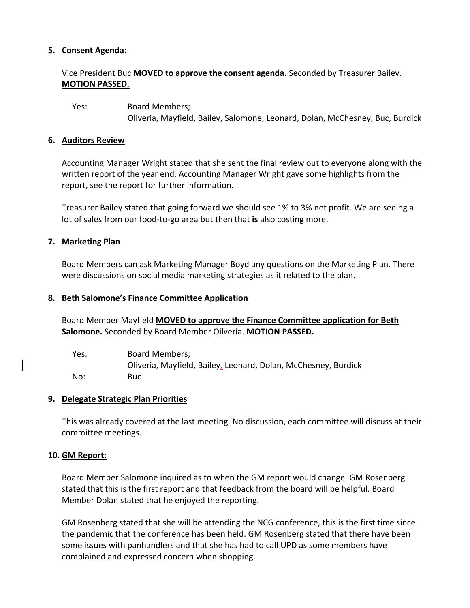# **5. Consent Agenda:**

# Vice President Buc **MOVED to approve the consent agenda.** Seconded by Treasurer Bailey. **MOTION PASSED.**

Yes: Board Members; Oliveria, Mayfield, Bailey, Salomone, Leonard, Dolan, McChesney, Buc, Burdick

#### **6. Auditors Review**

Accounting Manager Wright stated that she sent the final review out to everyone along with the written report of the year end. Accounting Manager Wright gave some highlights from the report, see the report for further information.

Treasurer Bailey stated that going forward we should see 1% to 3% net profit. We are seeing a lot of sales from our food-to-go area but then that **is** also costing more.

## **7. Marketing Plan**

Board Members can ask Marketing Manager Boyd any questions on the Marketing Plan. There were discussions on social media marketing strategies as it related to the plan.

#### **8. Beth Salomone's Finance Committee Application**

Board Member Mayfield **MOVED to approve the Finance Committee application for Beth Salomone.** Seconded by Board Member Oilveria. **MOTION PASSED.** 

| Yes: | Board Members;                                                 |
|------|----------------------------------------------------------------|
|      | Oliveria, Mayfield, Bailey, Leonard, Dolan, McChesney, Burdick |
| No:  | <b>Buc</b>                                                     |

## **9. Delegate Strategic Plan Priorities**

This was already covered at the last meeting. No discussion, each committee will discuss at their committee meetings.

## **10. GM Report:**

Board Member Salomone inquired as to when the GM report would change. GM Rosenberg stated that this is the first report and that feedback from the board will be helpful. Board Member Dolan stated that he enjoyed the reporting.

GM Rosenberg stated that she will be attending the NCG conference, this is the first time since the pandemic that the conference has been held. GM Rosenberg stated that there have been some issues with panhandlers and that she has had to call UPD as some members have complained and expressed concern when shopping.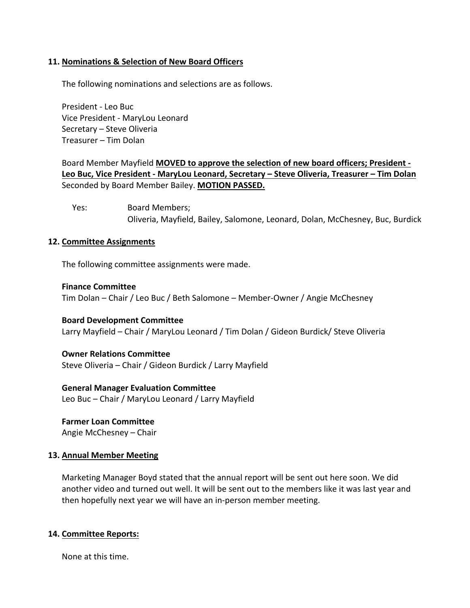## **11. Nominations & Selection of New Board Officers**

The following nominations and selections are as follows.

President - Leo Buc Vice President - MaryLou Leonard Secretary – Steve Oliveria Treasurer – Tim Dolan

Board Member Mayfield **MOVED to approve the selection of new board officers; President - Leo Buc, Vice President - MaryLou Leonard, Secretary – Steve Oliveria, Treasurer – Tim Dolan** Seconded by Board Member Bailey. **MOTION PASSED.** 

Yes: Board Members; Oliveria, Mayfield, Bailey, Salomone, Leonard, Dolan, McChesney, Buc, Burdick

#### **12. Committee Assignments**

The following committee assignments were made.

#### **Finance Committee**

Tim Dolan – Chair / Leo Buc / Beth Salomone – Member-Owner / Angie McChesney

**Board Development Committee** Larry Mayfield – Chair / MaryLou Leonard / Tim Dolan / Gideon Burdick/ Steve Oliveria

#### **Owner Relations Committee**

Steve Oliveria – Chair / Gideon Burdick / Larry Mayfield

## **General Manager Evaluation Committee**

Leo Buc – Chair / MaryLou Leonard / Larry Mayfield

**Farmer Loan Committee** Angie McChesney – Chair

#### **13. Annual Member Meeting**

Marketing Manager Boyd stated that the annual report will be sent out here soon. We did another video and turned out well. It will be sent out to the members like it was last year and then hopefully next year we will have an in-person member meeting.

## **14. Committee Reports:**

None at this time.